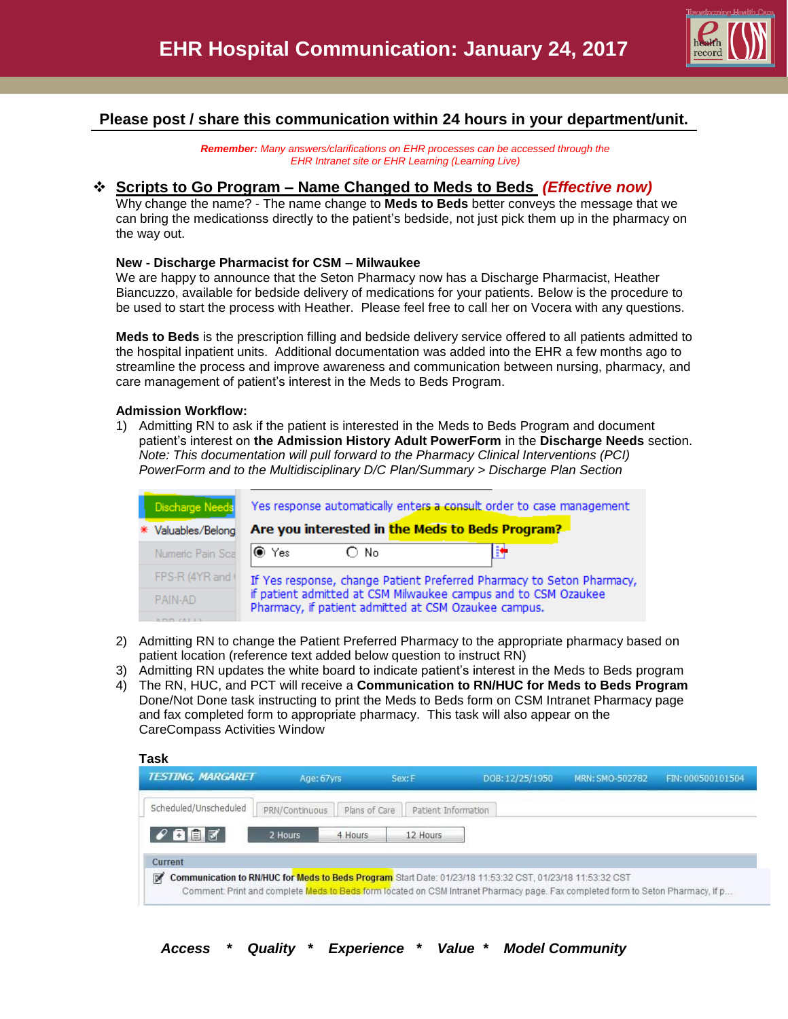

# **Please post / share this communication within 24 hours in your department/unit.**

*Remember: Many answers/clarifications on EHR processes can be accessed through the EHR Intranet site or EHR Learning (Learning Live)*

# **Scripts to Go Program – Name Changed to Meds to Beds** *(Effective now)*

Why change the name? - The name change to **Meds to Beds** better conveys the message that we can bring the medicationss directly to the patient's bedside, not just pick them up in the pharmacy on the way out.

## **New - Discharge Pharmacist for CSM – Milwaukee**

We are happy to announce that the Seton Pharmacy now has a Discharge Pharmacist, Heather Biancuzzo, available for bedside delivery of medications for your patients. Below is the procedure to be used to start the process with Heather. Please feel free to call her on Vocera with any questions.

**Meds to Beds** is the prescription filling and bedside delivery service offered to all patients admitted to the hospital inpatient units. Additional documentation was added into the EHR a few months ago to streamline the process and improve awareness and communication between nursing, pharmacy, and care management of patient's interest in the Meds to Beds Program.

## **Admission Workflow:**

1) Admitting RN to ask if the patient is interested in the Meds to Beds Program and document patient's interest on **the Admission History Adult PowerForm** in the **Discharge Needs** section. *Note: This documentation will pull forward to the Pharmacy Clinical Interventions (PCI) PowerForm and to the Multidisciplinary D/C Plan/Summary > Discharge Plan Section*

| Yes response automatically enters a consult order to case management                                                   |
|------------------------------------------------------------------------------------------------------------------------|
| Are you interested in the Meds to Beds Program?                                                                        |
| B÷<br>Numeric Pain Sca   Yes<br>O No.                                                                                  |
| If Yes response, change Patient Preferred Pharmacy to Seton Pharmacy,                                                  |
| if patient admitted at CSM Milwaukee campus and to CSM Ozaukee<br>Pharmacy, if patient admitted at CSM Ozaukee campus. |
|                                                                                                                        |

- 2) Admitting RN to change the Patient Preferred Pharmacy to the appropriate pharmacy based on patient location (reference text added below question to instruct RN)
- 3) Admitting RN updates the white board to indicate patient's interest in the Meds to Beds program
- 4) The RN, HUC, and PCT will receive a **Communication to RN/HUC for Meds to Beds Program** Done/Not Done task instructing to print the Meds to Beds form on CSM Intranet Pharmacy page and fax completed form to appropriate pharmacy. This task will also appear on the CareCompass Activities Window

| <b>TESTING, MARGARET</b> | Age: 67yrs     |               | Sex: F              | DOB: 12/25/1950 | MRN: SMO-502782 | FIN: 000500101504 |
|--------------------------|----------------|---------------|---------------------|-----------------|-----------------|-------------------|
| Scheduled/Unscheduled    | PRN/Continuous | Plans of Care | Patient Information |                 |                 |                   |
| 白自才                      | 2 Hours        | 4 Hours       | 12 Hours            |                 |                 |                   |
| Current                  |                |               |                     |                 |                 |                   |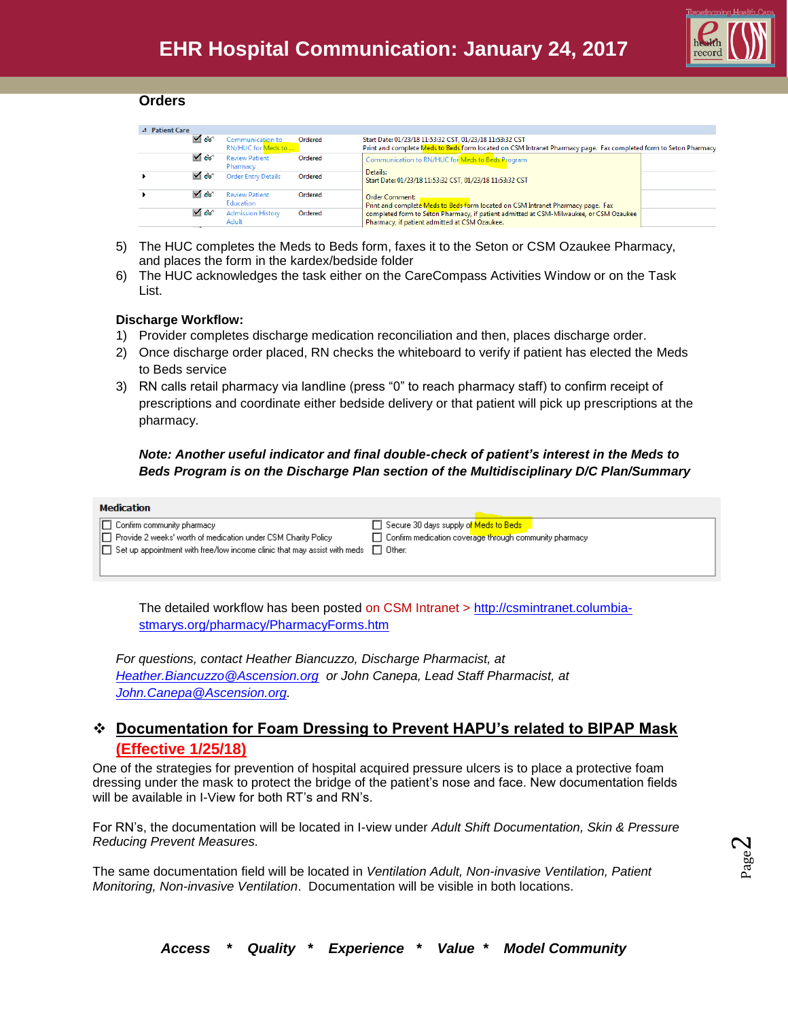

#### **Orders**

| ⊿ Patient Care |            |                                        |         |                                                                                                                                                                              |  |
|----------------|------------|----------------------------------------|---------|------------------------------------------------------------------------------------------------------------------------------------------------------------------------------|--|
|                | $\sqrt{6}$ | Communication to<br>RN/HUC for Meds to | Ordered | Start Date: 01/23/18 11:53:32 CST, 01/23/18 11:53:32 CST<br>Print and complete Meds to Beds form located on CSM Intranet Pharmacy page. Fax completed form to Seton Pharmacy |  |
|                | $\sqrt{6}$ | <b>Review Patient</b><br>Pharmacy      | Ordered | Communication to RN/HUC for Meds to Beds Program                                                                                                                             |  |
|                | $\sqrt{6}$ | <b>Order Entry Details</b>             | Ordered | Details:<br>Start Date: 01/23/18 11:53:32 CST, 01/23/18 11:53:32 CST                                                                                                         |  |
|                | $\sqrt{6}$ | <b>Review Patient</b><br>Education     | Ordered | <b>Order Comment:</b><br>Print and complete Meds to Beds form located on CSM Intranet Pharmacy page. Fax                                                                     |  |
|                | $\sqrt{6}$ | <b>Admission History</b><br>Adult      | Ordered | completed form to Seton Pharmacy, if patient admitted at CSM-Milwaukee, or CSM Ozaukee<br>Pharmacy, if patient admitted at CSM Ozaukee.                                      |  |
|                |            |                                        |         |                                                                                                                                                                              |  |

- 5) The HUC completes the Meds to Beds form, faxes it to the Seton or CSM Ozaukee Pharmacy, and places the form in the kardex/bedside folder
- 6) The HUC acknowledges the task either on the CareCompass Activities Window or on the Task List.

## **Discharge Workflow:**

- 1) Provider completes discharge medication reconciliation and then, places discharge order.
- 2) Once discharge order placed, RN checks the whiteboard to verify if patient has elected the Meds to Beds service
- 3) RN calls retail pharmacy via landline (press "0" to reach pharmacy staff) to confirm receipt of prescriptions and coordinate either bedside delivery or that patient will pick up prescriptions at the pharmacy.

## *Note: Another useful indicator and final double-check of patient's interest in the Meds to Beds Program is on the Discharge Plan section of the Multidisciplinary D/C Plan/Summary*

| Medication                                                                        |                                                               |
|-----------------------------------------------------------------------------------|---------------------------------------------------------------|
| △ Confirm community pharmacy                                                      | □ Secure 30 days supply of Meds to Beds                       |
| □ Provide 2 weeks' worth of medication under CSM Charity Policy                   | $\Box$ Confirm medication coverage through community pharmacy |
| $ \Box $ Set up appointment with free/low income clinic that may assist with meds | Other:                                                        |
|                                                                                   |                                                               |

The detailed workflow has been posted on CSM Intranet > [http://csmintranet.columbia](http://csmintranet.columbia-stmarys.org/pharmacy/PharmacyForms.htm)[stmarys.org/pharmacy/PharmacyForms.htm](http://csmintranet.columbia-stmarys.org/pharmacy/PharmacyForms.htm)

*For questions, contact Heather Biancuzzo, Discharge Pharmacist, at [Heather.Biancuzzo@Ascension.org](mailto:Heather.Biancuzzo@Ascension.org) or John Canepa, Lead Staff Pharmacist, at [John.Canepa@Ascension.org.](mailto:John.Canepa@Ascension.org)* 

## **Documentation for Foam Dressing to Prevent HAPU's related to BIPAP Mask (Effective 1/25/18)**

One of the strategies for prevention of hospital acquired pressure ulcers is to place a protective foam dressing under the mask to protect the bridge of the patient's nose and face. New documentation fields will be available in I-View for both RT's and RN's.

For RN's, the documentation will be located in I-view under *Adult Shift Documentation, Skin & Pressure Reducing Prevent Measures.* 

The same documentation field will be located in *Ventilation Adult, Non-invasive Ventilation, Patient Monitoring, Non-invasive Ventilation*. Documentation will be visible in both locations.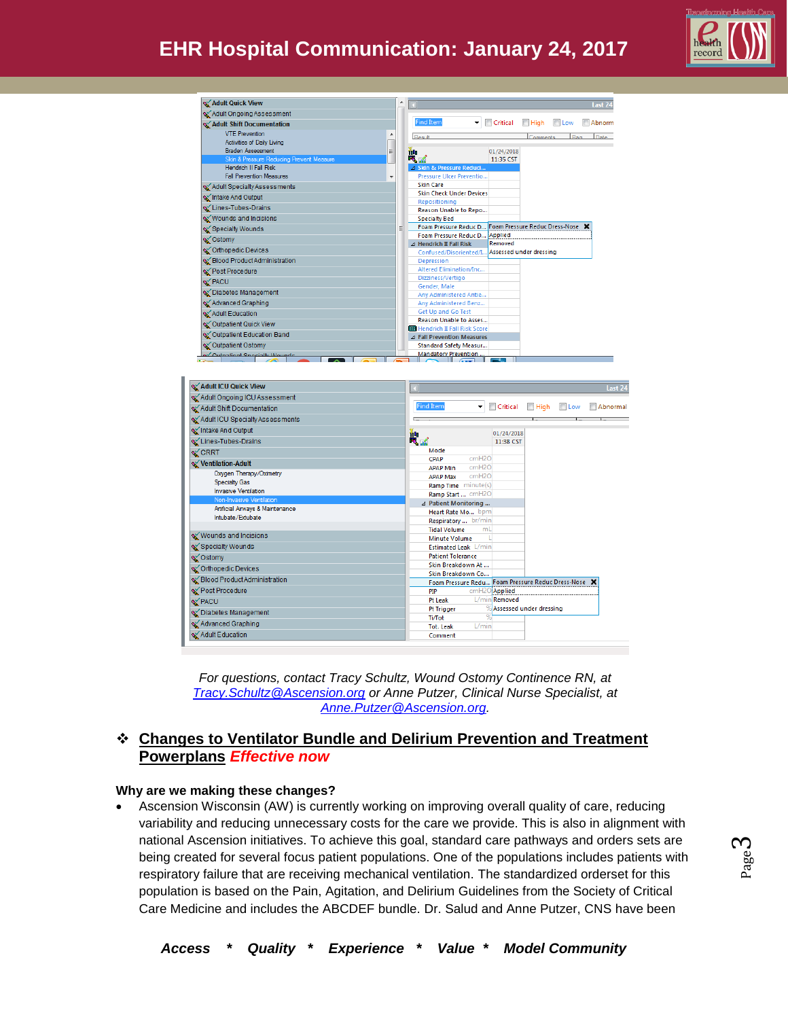# **EHR Hospital Communication: January 24, 2017**



| <b>X</b> Adult Quick View                           |                          | ▲ |                                                        |   |                         |             |               | Last 24 |
|-----------------------------------------------------|--------------------------|---|--------------------------------------------------------|---|-------------------------|-------------|---------------|---------|
| Adult Ongoing Assessment                            |                          |   |                                                        |   |                         |             |               |         |
|                                                     |                          |   | <b>Find Item</b>                                       | ▼ | Critical                | $\Box$ High | <b>El</b> Low | Abnorm  |
| Adult Shift Documentation                           |                          |   |                                                        |   |                         |             |               |         |
| <b>VTE Prevention</b><br>Activities of Daily Living |                          |   | Result                                                 |   |                         | Comments    | Flan          | Date    |
| <b>Braden Assessment</b>                            | Ξ                        |   | Ťч                                                     |   | 01/24/2018              |             |               |         |
| Skin & Pressure Reducing Prevent Measure            |                          |   | 电子                                                     |   | 11:35 CST               |             |               |         |
| Hendrich II Fall Risk                               |                          |   | 4 Skin & Pressure Reduci                               |   |                         |             |               |         |
| <b>Fall Prevention Measures</b>                     | $\overline{\phantom{a}}$ |   | Pressure Ulcer Preventio                               |   |                         |             |               |         |
| MAdult Specialty Assessments                        |                          |   | <b>Skin Care</b>                                       |   |                         |             |               |         |
| Intake And Output                                   |                          |   | <b>Skin Check Under Devices</b>                        |   |                         |             |               |         |
| Lines-Tubes-Drains                                  |                          |   | Repositioning                                          |   |                         |             |               |         |
| Wounds and Incisions                                |                          |   | Reason Unable to Repo<br><b>Specialty Bed</b>          |   |                         |             |               |         |
|                                                     |                          | Ξ | Foam Pressure Reduc D Foam Pressure Reduc Dress-Nose X |   |                         |             |               |         |
| Specialty Wounds                                    |                          |   | Foam Pressure Reduc D., Applied                        |   |                         |             |               |         |
| s√Ostomy                                            |                          |   | $\triangle$ Hendrich II Fall Risk                      |   | Removed                 |             |               |         |
| S Orthopedic Devices                                |                          |   | Confused/Disoriented/I                                 |   | Assessed under dressing |             |               |         |
| Blood Product Administration                        |                          |   | Depression                                             |   |                         |             |               |         |
| Post Procedure                                      |                          |   | Altered Elimination/Inc                                |   |                         |             |               |         |
| Y PACU                                              |                          |   | Dizziness/Vertigo                                      |   |                         |             |               |         |
| November Of Diabetes Management                     |                          |   | Gender, Male                                           |   |                         |             |               |         |
| Advanced Graphing                                   |                          |   | Any Administered Antie<br>Any Administered Benz        |   |                         |             |               |         |
|                                                     |                          |   | Get Up and Go Test                                     |   |                         |             |               |         |
| Adult Education                                     |                          |   | <b>Reason Unable to Asses</b>                          |   |                         |             |               |         |
| Coutpatient Quick View                              |                          |   | Hendrich II Fall Risk Score                            |   |                         |             |               |         |
| S Outpatient Education Band                         |                          |   | <b>4 Fall Prevention Measures</b>                      |   |                         |             |               |         |
| S Outpatient Ostomy                                 |                          |   | Standard Safety Measur                                 |   |                         |             |               |         |
| a Quinationt Concially Mounde                       |                          |   | Mandatory Prevention                                   |   |                         |             |               |         |

| Adult ICU Quick View             | Last 24                                                           |
|----------------------------------|-------------------------------------------------------------------|
| Adult Ongoing ICU Assessment     |                                                                   |
| Adult Shift Documentation        | <b>Find Item</b><br><b>Critical</b><br>High Low<br>Abnormal<br>۰ı |
| Adult ICU Specialty Assessments  |                                                                   |
| Intake And Output                | 湤<br>01/24/2018                                                   |
| Lines-Tubes-Drains               | 电面<br>11:38 CST                                                   |
| SY CRRT                          | Mode                                                              |
| Ventilation-Adult                | cmH2O<br><b>CPAP</b>                                              |
| Oxygen Therapy/Oximetry          | cmH2O<br><b>APAP Min</b>                                          |
| <b>Specialty Gas</b>             | cmH2O<br><b>APAP Max</b>                                          |
| <b>Invasive Ventilation</b>      | Ramp Time minute(s)                                               |
| Non-Invasive Ventilation         | Ramp Start  cmH2O                                                 |
| Artificial Airways & Maintenance | ⊿ Patient Monitoring                                              |
| Intubate/Extubate                | Heart Rate Mo bpm                                                 |
|                                  | Respiratory  br/min                                               |
| Wounds and Incisions             | mL<br><b>Tidal Volume</b><br><b>Minute Volume</b>                 |
| Specialty Wounds                 | Estimated Leak L/min                                              |
| siomy Ostomy                     | <b>Patient Tolerance</b>                                          |
|                                  | Skin Breakdown At                                                 |
| S Orthopedic Devices             | Skin Breakdown Co                                                 |
| Blood Product Administration     | Foam Pressure Redu Foam Pressure Reduc Dress-Nose X               |
| Y Post Procedure                 | cmH2O Applied<br>PIP                                              |
| Y PACU                           | L/min <b>Removed</b><br>Pt Leak                                   |
| S Diabetes Management            | % Assessed under dressing<br>Pt Trigger                           |
|                                  | %<br>Ti/Tot                                                       |
| Advanced Graphing                | L/min<br><b>Tot. Leak</b>                                         |
| Adult Education                  | Comment                                                           |

*For questions, contact Tracy Schultz, Wound Ostomy Continence RN, at [Tracy.Schultz@Ascension.org](mailto:Tracy.Schultz@Ascension.org) or Anne Putzer, Clinical Nurse Specialist, at [Anne.Putzer@Ascension.org.](mailto:Anne.Putzer@Ascension.org)* 

## **Changes to Ventilator Bundle and Delirium Prevention and Treatment Powerplans** *Effective now*

## **Why are we making these changes?**

 Ascension Wisconsin (AW) is currently working on improving overall quality of care, reducing variability and reducing unnecessary costs for the care we provide. This is also in alignment with national Ascension initiatives. To achieve this goal, standard care pathways and orders sets are being created for several focus patient populations. One of the populations includes patients with respiratory failure that are receiving mechanical ventilation. The standardized orderset for this population is based on the Pain, Agitation, and Delirium Guidelines from the Society of Critical Care Medicine and includes the ABCDEF bundle. Dr. Salud and Anne Putzer, CNS have been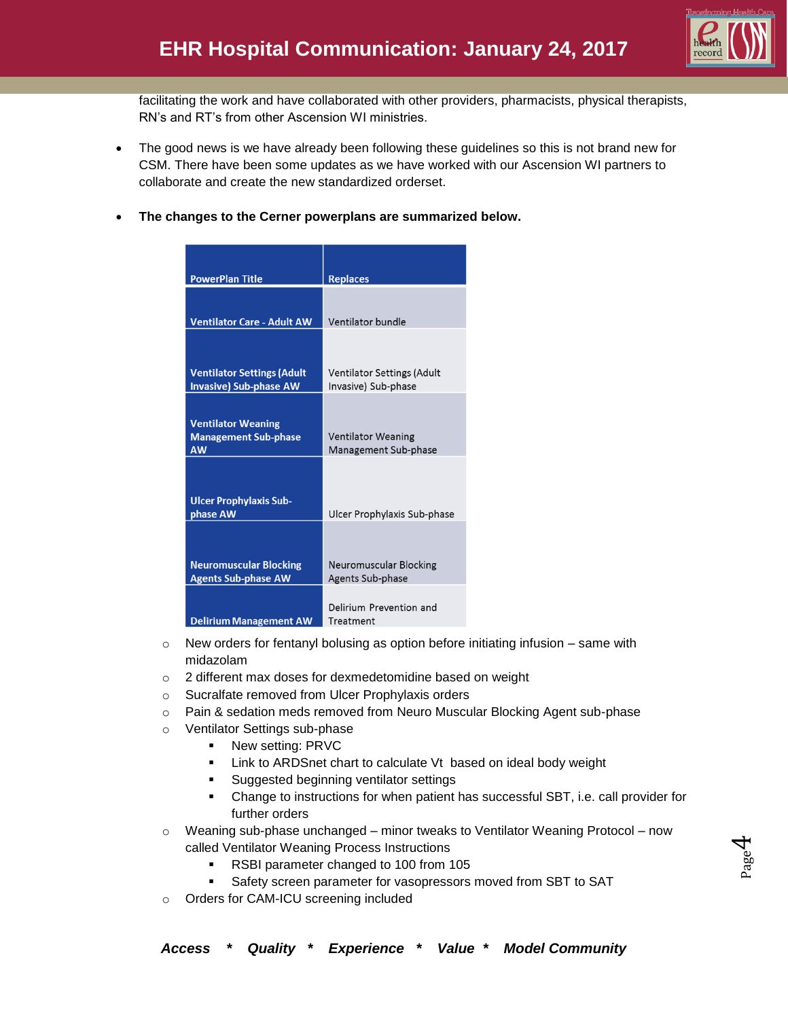

Page  $\overline{\mathcal{A}}$ 

facilitating the work and have collaborated with other providers, pharmacists, physical therapists, RN's and RT's from other Ascension WI ministries.

- The good news is we have already been following these guidelines so this is not brand new for CSM. There have been some updates as we have worked with our Ascension WI partners to collaborate and create the new standardized orderset.
- **The changes to the Cerner powerplans are summarized below.**

| <b>PowerPlan Title</b>                                                | <b>Replaces</b>                                          |
|-----------------------------------------------------------------------|----------------------------------------------------------|
|                                                                       |                                                          |
| <b>Ventilator Care - Adult AW</b>                                     | Ventilator bundle                                        |
|                                                                       |                                                          |
| <b>Ventilator Settings (Adult</b><br><b>Invasive) Sub-phase AW</b>    | <b>Ventilator Settings (Adult</b><br>Invasive) Sub-phase |
|                                                                       |                                                          |
| <b>Ventilator Weaning</b><br><b>Management Sub-phase</b><br><b>AW</b> | <b>Ventilator Weaning</b><br>Management Sub-phase        |
| <b>Ulcer Prophylaxis Sub-</b><br>phase AW                             | Ulcer Prophylaxis Sub-phase                              |
|                                                                       |                                                          |
| <b>Neuromuscular Blocking</b><br><b>Agents Sub-phase AW</b>           | Neuromuscular Blocking<br>Agents Sub-phase               |
| <b>Delirium Management AW</b>                                         | Delirium Prevention and<br>Treatment                     |

- $\circ$  New orders for fentanyl bolusing as option before initiating infusion same with midazolam
- o 2 different max doses for dexmedetomidine based on weight
- o Sucralfate removed from Ulcer Prophylaxis orders
- o Pain & sedation meds removed from Neuro Muscular Blocking Agent sub-phase
- o Ventilator Settings sub-phase
	- New setting: PRVC
	- **EXECT** Link to ARDSnet chart to calculate Vt based on ideal body weight
	- Suggested beginning ventilator settings
	- Change to instructions for when patient has successful SBT, i.e. call provider for further orders
- $\circ$  Weaning sub-phase unchanged minor tweaks to Ventilator Weaning Protocol now called Ventilator Weaning Process Instructions
	- RSBI parameter changed to 100 from 105
	- **Safety screen parameter for vasopressors moved from SBT to SAT**
- o Orders for CAM-ICU screening included